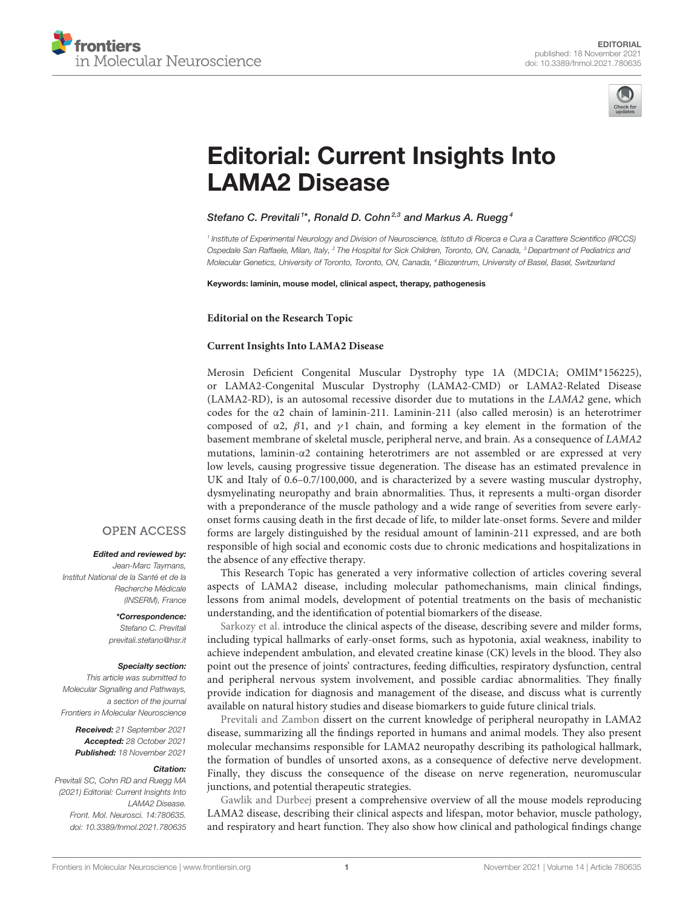



# [Editorial: Current Insights Into](https://www.frontiersin.org/articles/10.3389/fnmol.2021.780635/full) LAMA2 Disease

### Stefano C. Previtali<sup>1\*</sup>, Ronald D. Cohn<sup>2,3</sup> and Markus A. Ruegg<sup>4</sup>

1 Institute of Experimental Neurology and Division of Neuroscience, Istituto di Ricerca e Cura a Carattere Scientifico (IRCCS) Ospedale San Raffaele, Milan, Italy, <sup>2</sup> The Hospital for Sick Children, Toronto, ON, Canada, <sup>3</sup> Department of Pediatrics and Molecular Genetics, University of Toronto, Toronto, ON, Canada, <sup>4</sup> Biozentrum, University of Basel, Basel, Switzerland

Keywords: laminin, mouse model, clinical aspect, therapy, pathogenesis

**Editorial on the Research Topic**

#### **[Current Insights Into LAMA2 Disease](https://www.frontiersin.org/research-topics/9555/current-insights-into-lama2-disease)**

Merosin Deficient Congenital Muscular Dystrophy type 1A (MDC1A; OMIM<sup>∗</sup> 156225), or LAMA2-Congenital Muscular Dystrophy (LAMA2-CMD) or LAMA2-Related Disease (LAMA2-RD), is an autosomal recessive disorder due to mutations in the LAMA2 gene, which codes for the  $\alpha$ 2 chain of laminin-211. Laminin-211 (also called merosin) is an heterotrimer composed of  $\alpha$ 2,  $\beta$ 1, and  $\gamma$ 1 chain, and forming a key element in the formation of the basement membrane of skeletal muscle, peripheral nerve, and brain. As a consequence of LAMA2 mutations, laminin-α2 containing heterotrimers are not assembled or are expressed at very low levels, causing progressive tissue degeneration. The disease has an estimated prevalence in UK and Italy of 0.6–0.7/100,000, and is characterized by a severe wasting muscular dystrophy, dysmyelinating neuropathy and brain abnormalities. Thus, it represents a multi-organ disorder with a preponderance of the muscle pathology and a wide range of severities from severe earlyonset forms causing death in the first decade of life, to milder late-onset forms. Severe and milder forms are largely distinguished by the residual amount of laminin-211 expressed, and are both responsible of high social and economic costs due to chronic medications and hospitalizations in the absence of any effective therapy.

This Research Topic has generated a very informative collection of articles covering several aspects of LAMA2 disease, including molecular pathomechanisms, main clinical findings, lessons from animal models, development of potential treatments on the basis of mechanistic understanding, and the identification of potential biomarkers of the disease.

[Sarkozy et al.](https://doi.org/10.3389/fnmol.2020.00123) introduce the clinical aspects of the disease, describing severe and milder forms, including typical hallmarks of early-onset forms, such as hypotonia, axial weakness, inability to achieve independent ambulation, and elevated creatine kinase (CK) levels in the blood. They also point out the presence of joints' contractures, feeding difficulties, respiratory dysfunction, central and peripheral nervous system involvement, and possible cardiac abnormalities. They finally provide indication for diagnosis and management of the disease, and discuss what is currently available on natural history studies and disease biomarkers to guide future clinical trials.

[Previtali and Zambon](https://doi.org/10.3389/fnmol.2020.00060) dissert on the current knowledge of peripheral neuropathy in LAMA2 disease, summarizing all the findings reported in humans and animal models. They also present molecular mechansims responsible for LAMA2 neuropathy describing its pathological hallmark, the formation of bundles of unsorted axons, as a consequence of defective nerve development. Finally, they discuss the consequence of the disease on nerve regeneration, neuromuscular junctions, and potential therapeutic strategies.

[Gawlik and Durbeej](https://doi.org/10.3389/fnmol.2020.00059) present a comprehensive overview of all the mouse models reproducing LAMA2 disease, describing their clinical aspects and lifespan, motor behavior, muscle pathology, and respiratory and heart function. They also show how clinical and pathological findings change

## **OPEN ACCESS**

#### Edited and reviewed by:

Jean-Marc Taymans, Institut National de la Santé et de la Recherche Médicale (INSERM), France

#### \*Correspondence: Stefano C. Previtali

[previtali.stefano@hsr.it](mailto:previtali.stefano@hsr.it)

#### Specialty section:

This article was submitted to Molecular Signalling and Pathways, a section of the journal Frontiers in Molecular Neuroscience

Received: 21 September 2021 Accepted: 28 October 2021 Published: 18 November 2021

#### Citation:

Previtali SC, Cohn RD and Ruegg MA (2021) Editorial: Current Insights Into LAMA2 Disease. Front. Mol. Neurosci. 14:780635. doi: [10.3389/fnmol.2021.780635](https://doi.org/10.3389/fnmol.2021.780635)